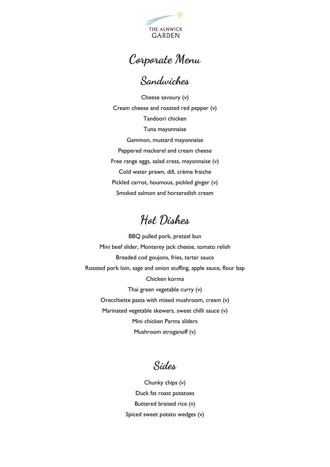

**Corporate Menu**

## **Sandwiches**

Cheese savoury (v) Cream cheese and roasted red pepper (v) Tandoori chicken Tuna mayonnaise Gammon, mustard mayonnaise Peppered mackerel and cream cheese Free range eggs, salad cress, mayonnaise (v) Cold water prawn, dill, crème fraiche Pickled carrot, houmous, pickled ginger (v) Smoked salmon and horseradish cream

## **Hot Dishes**

BBQ pulled pork, pretzel bun Mini beef slider, Monterey jack cheese, tomato relish Breaded cod goujons, fries, tartar sauce Roasted pork loin, sage and onion stuffing, apple sauce, flour bap Chicken korma Thai green vegetable curry (v) Orecchiette pasta with mixed mushroom, cream (v) Marinated vegetable skewers, sweet chilli sauce (v) Mini chicken Parma sliders Mushroom stroganoff (v)

**Sides**

Chunky chips (v) Duck fat roast potatoes Buttered braised rice (v) Spiced sweet potato wedges (v)